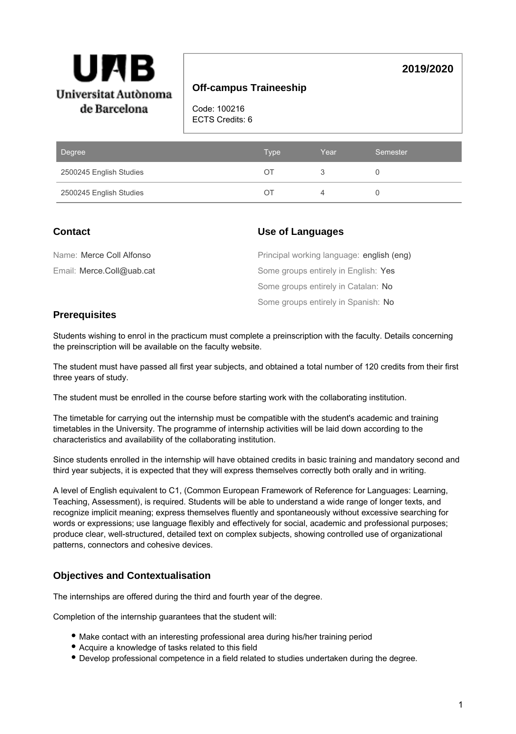

## **Off-campus Traineeship**

Code: 100216 ECTS Credits: 6

| Degree                  | <b>Type</b>              | Year | Semester |
|-------------------------|--------------------------|------|----------|
| 2500245 English Studies | ( ) 1                    |      |          |
| 2500245 English Studies | $\left( \quad \right)$ i |      |          |

## **Contact**

### **Use of Languages**

| Name: Merce Coll Alfonso  | Principal working language: english (eng) |
|---------------------------|-------------------------------------------|
| Email: Merce.Coll@uab.cat | Some groups entirely in English: Yes      |
|                           | Some groups entirely in Catalan: No       |
|                           | Some groups entirely in Spanish: No       |

## **Prerequisites**

Students wishing to enrol in the practicum must complete a preinscription with the faculty. Details concerning the preinscription will be available on the faculty website.

The student must have passed all first year subjects, and obtained a total number of 120 credits from their first three years of study.

The student must be enrolled in the course before starting work with the collaborating institution.

The timetable for carrying out the internship must be compatible with the student's academic and training timetables in the University. The programme of internship activities will be laid down according to the characteristics and availability of the collaborating institution.

Since students enrolled in the internship will have obtained credits in basic training and mandatory second and third year subjects, it is expected that they will express themselves correctly both orally and in writing.

A level of English equivalent to C1, (Common European Framework of Reference for Languages: Learning, Teaching, Assessment), is required. Students will be able to understand a wide range of longer texts, and recognize implicit meaning; express themselves fluently and spontaneously without excessive searching for words or expressions; use language flexibly and effectively for social, academic and professional purposes; produce clear, well-structured, detailed text on complex subjects, showing controlled use of organizational patterns, connectors and cohesive devices.

### **Objectives and Contextualisation**

The internships are offered during the third and fourth year of the degree.

Completion of the internship guarantees that the student will:

- Make contact with an interesting professional area during his/her training period
- Acquire a knowledge of tasks related to this field
- Develop professional competence in a field related to studies undertaken during the degree.

**2019/2020**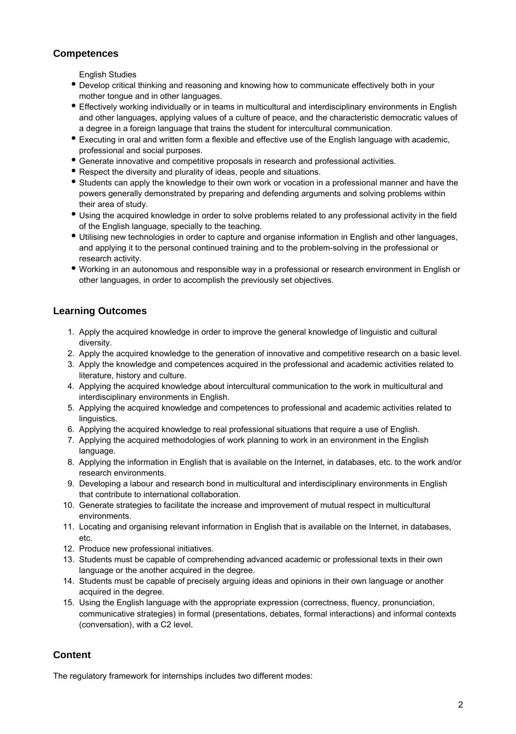### **Competences**

English Studies

- Develop critical thinking and reasoning and knowing how to communicate effectively both in your mother tongue and in other languages.
- Effectively working individually or in teams in multicultural and interdisciplinary environments in English and other languages, applying values of a culture of peace, and the characteristic democratic values of a degree in a foreign language that trains the student for intercultural communication.
- Executing in oral and written form a flexible and effective use of the English language with academic, professional and social purposes.
- Generate innovative and competitive proposals in research and professional activities.
- Respect the diversity and plurality of ideas, people and situations.
- Students can apply the knowledge to their own work or vocation in a professional manner and have the powers generally demonstrated by preparing and defending arguments and solving problems within their area of study.
- Using the acquired knowledge in order to solve problems related to any professional activity in the field of the English language, specially to the teaching.
- Utilising new technologies in order to capture and organise information in English and other languages, and applying it to the personal continued training and to the problem-solving in the professional or research activity.
- Working in an autonomous and responsible way in a professional or research environment in English or other languages, in order to accomplish the previously set objectives.

### **Learning Outcomes**

- 1. Apply the acquired knowledge in order to improve the general knowledge of linguistic and cultural diversity.
- 2. Apply the acquired knowledge to the generation of innovative and competitive research on a basic level.
- 3. Apply the knowledge and competences acquired in the professional and academic activities related to literature, history and culture.
- 4. Applying the acquired knowledge about intercultural communication to the work in multicultural and interdisciplinary environments in English.
- 5. Applying the acquired knowledge and competences to professional and academic activities related to linguistics.
- 6. Applying the acquired knowledge to real professional situations that require a use of English.
- 7. Applying the acquired methodologies of work planning to work in an environment in the English language.
- 8. Applying the information in English that is available on the Internet, in databases, etc. to the work and/or research environments.
- 9. Developing a labour and research bond in multicultural and interdisciplinary environments in English that contribute to international collaboration.
- 10. Generate strategies to facilitate the increase and improvement of mutual respect in multicultural environments.
- 11. Locating and organising relevant information in English that is available on the Internet, in databases, etc.
- 12. Produce new professional initiatives.
- 13. Students must be capable of comprehending advanced academic or professional texts in their own language or the another acquired in the degree.
- 14. Students must be capable of precisely arguing ideas and opinions in their own language or another acquired in the degree.
- 15. Using the English language with the appropriate expression (correctness, fluency, pronunciation, communicative strategies) in formal (presentations, debates, formal interactions) and informal contexts (conversation), with a C2 level.

## **Content**

The regulatory framework for internships includes two different modes: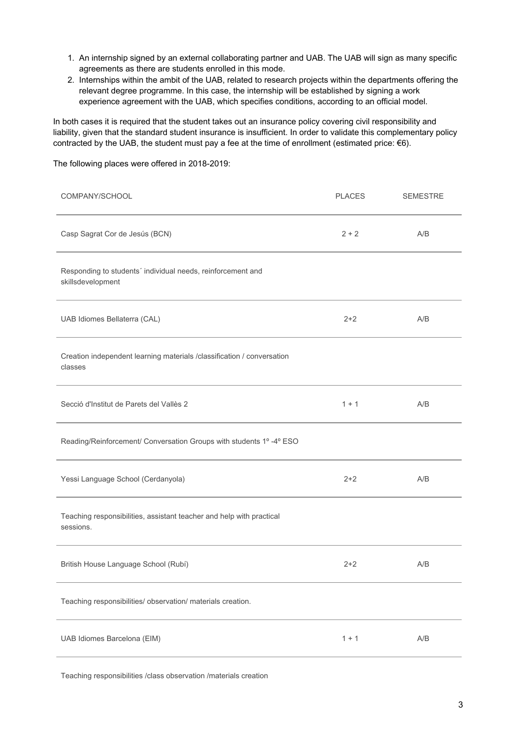- 1. An internship signed by an external collaborating partner and UAB. The UAB will sign as many specific agreements as there are students enrolled in this mode.
- 2. Internships within the ambit of the UAB, related to research projects within the departments offering the relevant degree programme. In this case, the internship will be established by signing a work experience agreement with the UAB, which specifies conditions, according to an official model.

In both cases it is required that the student takes out an insurance policy covering civil responsibility and liability, given that the standard student insurance is insufficient. In order to validate this complementary policy contracted by the UAB, the student must pay a fee at the time of enrollment (estimated price: €6).

The following places were offered in 2018-2019:

| COMPANY/SCHOOL                                                                    | <b>PLACES</b> | <b>SEMESTRE</b> |
|-----------------------------------------------------------------------------------|---------------|-----------------|
| Casp Sagrat Cor de Jesús (BCN)                                                    | $2 + 2$       | A/B             |
| Responding to students' individual needs, reinforcement and<br>skillsdevelopment  |               |                 |
| UAB Idiomes Bellaterra (CAL)                                                      | $2 + 2$       | A/B             |
| Creation independent learning materials /classification / conversation<br>classes |               |                 |
| Secció d'Institut de Parets del Vallès 2                                          | $1 + 1$       | A/B             |
| Reading/Reinforcement/ Conversation Groups with students 1º-4º ESO                |               |                 |
| Yessi Language School (Cerdanyola)                                                | $2 + 2$       | A/B             |
| Teaching responsibilities, assistant teacher and help with practical<br>sessions. |               |                 |
| British House Language School (Rubí)                                              | $2 + 2$       | A/B             |
| Teaching responsibilities/ observation/ materials creation.                       |               |                 |
| UAB Idiomes Barcelona (EIM)                                                       | $1 + 1$       | A/B             |

Teaching responsibilities /class observation /materials creation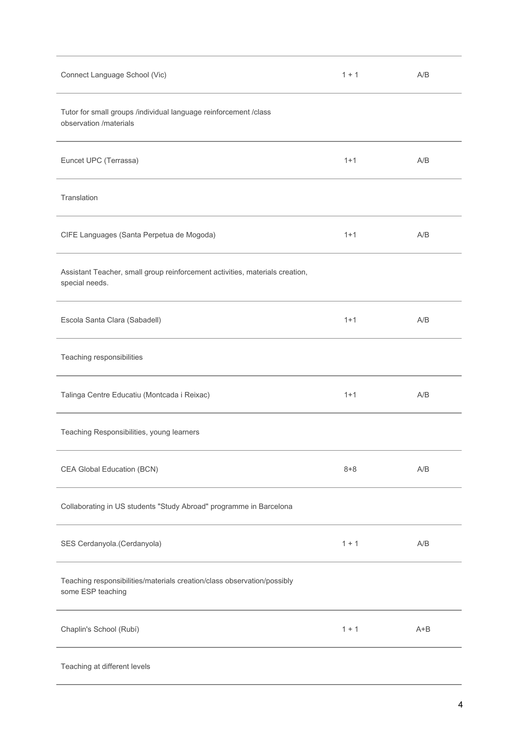| Connect Language School (Vic)                                                                  | $1 + 1$ | A/B     |  |
|------------------------------------------------------------------------------------------------|---------|---------|--|
| Tutor for small groups /individual language reinforcement /class<br>observation /materials     |         |         |  |
| Euncet UPC (Terrassa)                                                                          | $1 + 1$ | A/B     |  |
| Translation                                                                                    |         |         |  |
| CIFE Languages (Santa Perpetua de Mogoda)                                                      | $1 + 1$ | A/B     |  |
| Assistant Teacher, small group reinforcement activities, materials creation,<br>special needs. |         |         |  |
| Escola Santa Clara (Sabadell)                                                                  | $1 + 1$ | A/B     |  |
| Teaching responsibilities                                                                      |         |         |  |
| Talinga Centre Educatiu (Montcada i Reixac)                                                    | $1 + 1$ | A/B     |  |
| Teaching Responsibilities, young learners                                                      |         |         |  |
| CEA Global Education (BCN)                                                                     | $8 + 8$ | A/B     |  |
| Collaborating in US students "Study Abroad" programme in Barcelona                             |         |         |  |
| SES Cerdanyola.(Cerdanyola)                                                                    | $1 + 1$ | A/B     |  |
| Teaching responsibilities/materials creation/class observation/possibly<br>some ESP teaching   |         |         |  |
| Chaplin's School (Rubí)                                                                        | $1 + 1$ | $A + B$ |  |
| Teaching at different levels                                                                   |         |         |  |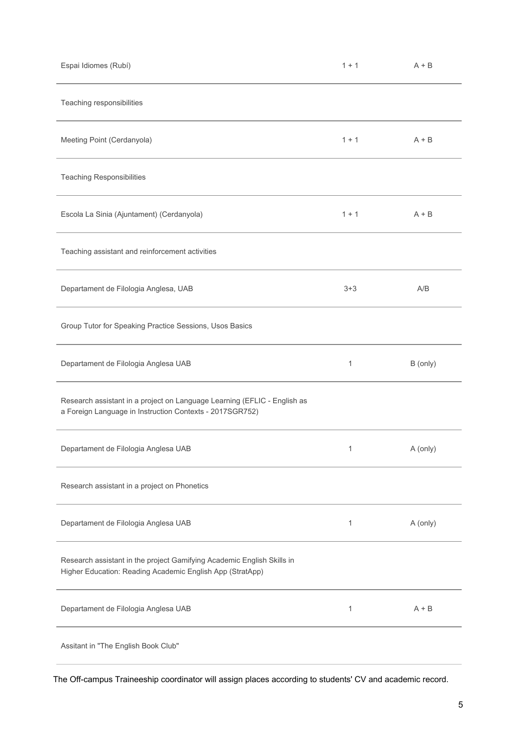| Espai Idiomes (Rubí)                                                                                                                 | $1 + 1$ | $A + B$  |
|--------------------------------------------------------------------------------------------------------------------------------------|---------|----------|
| Teaching responsibilities                                                                                                            |         |          |
| Meeting Point (Cerdanyola)                                                                                                           | $1 + 1$ | $A + B$  |
| <b>Teaching Responsibilities</b>                                                                                                     |         |          |
| Escola La Sinia (Ajuntament) (Cerdanyola)                                                                                            | $1 + 1$ | $A + B$  |
| Teaching assistant and reinforcement activities                                                                                      |         |          |
| Departament de Filologia Anglesa, UAB                                                                                                | $3 + 3$ | A/B      |
| Group Tutor for Speaking Practice Sessions, Usos Basics                                                                              |         |          |
| Departament de Filologia Anglesa UAB                                                                                                 | 1       | B (only) |
| Research assistant in a project on Language Learning (EFLIC - English as<br>a Foreign Language in Instruction Contexts - 2017SGR752) |         |          |
| Departament de Filologia Anglesa UAB                                                                                                 | 1       | A (only) |
| Research assistant in a project on Phonetics                                                                                         |         |          |
| Departament de Filologia Anglesa UAB                                                                                                 | 1       | A (only) |
| Research assistant in the project Gamifying Academic English Skills in<br>Higher Education: Reading Academic English App (StratApp)  |         |          |
| Departament de Filologia Anglesa UAB                                                                                                 | 1       | $A + B$  |
| Assitant in "The English Book Club"                                                                                                  |         |          |

The Off-campus Traineeship coordinator will assign places according to students' CV and academic record.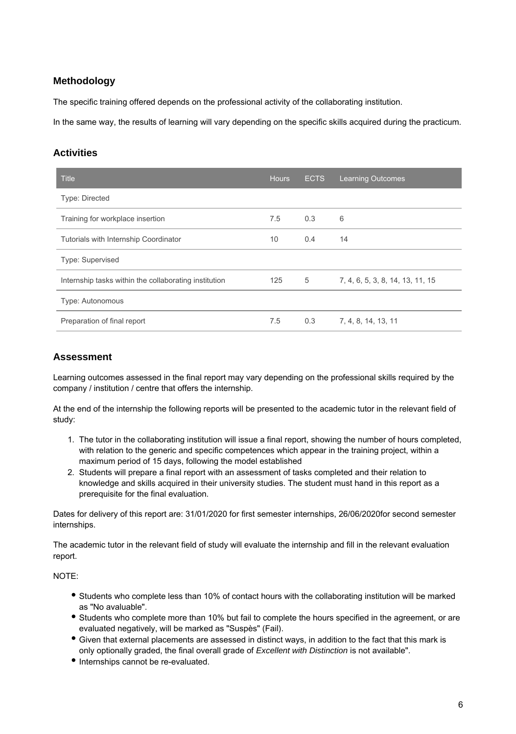### **Methodology**

The specific training offered depends on the professional activity of the collaborating institution.

In the same way, the results of learning will vary depending on the specific skills acquired during the practicum.

#### **Activities**

| <b>Title</b>                                          | <b>Hours</b> | <b>ECTS</b> | <b>Learning Outcomes</b>         |
|-------------------------------------------------------|--------------|-------------|----------------------------------|
| <b>Type: Directed</b>                                 |              |             |                                  |
| Training for workplace insertion                      | 7.5          | 0.3         | 6                                |
| Tutorials with Internship Coordinator                 | 10           | 0.4         | 14                               |
| Type: Supervised                                      |              |             |                                  |
| Internship tasks within the collaborating institution | 125          | 5           | 7, 4, 6, 5, 3, 8, 14, 13, 11, 15 |
| Type: Autonomous                                      |              |             |                                  |
| Preparation of final report                           | 7.5          | 0.3         | 7, 4, 8, 14, 13, 11              |

#### **Assessment**

Learning outcomes assessed in the final report may vary depending on the professional skills required by the company / institution / centre that offers the internship.

At the end of the internship the following reports will be presented to the academic tutor in the relevant field of study:

- 1. The tutor in the collaborating institution will issue a final report, showing the number of hours completed, with relation to the generic and specific competences which appear in the training project, within a maximum period of 15 days, following the model established
- 2. Students will prepare a final report with an assessment of tasks completed and their relation to knowledge and skills acquired in their university studies. The student must hand in this report as a prerequisite for the final evaluation.

Dates for delivery of this report are: 31/01/2020 for first semester internships, 26/06/2020for second semester internships.

The academic tutor in the relevant field of study will evaluate the internship and fill in the relevant evaluation report.

NOTE:

- Students who complete less than 10% of contact hours with the collaborating institution will be marked as "No avaluable".
- Students who complete more than 10% but fail to complete the hours specified in the agreement, or are evaluated negatively, will be marked as "Suspès" (Fail).
- Given that external placements are assessed in distinct ways, in addition to the fact that this mark is only optionally graded, the final overall grade of Excellent with Distinction is not available".
- Internships cannot be re-evaluated.